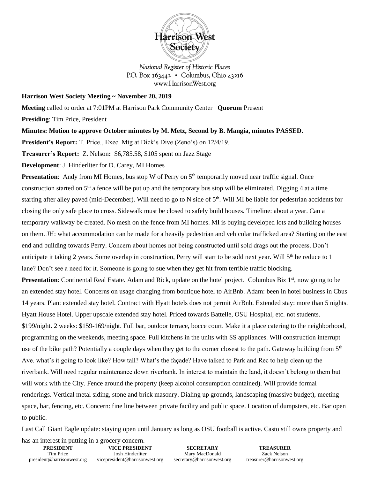

National Register of Historic Places P.O. Box  $163442 \cdot$  Columbus, Ohio 43216 www.HarrisonWest.org

## **Harrison West Society Meeting ~ November 20, 2019**

**Meeting** called to order at 7:01PM at Harrison Park Community Center **Quorum** Present

**Presiding**: Tim Price, President

**Minutes: Motion to approve October minutes by M. Metz, Second by B. Mangia, minutes PASSED.** 

**President's Report:** T. Price., Exec. Mtg at Dick's Dive (Zeno's) on 12/4/19.

**Treasurer's Report:** Z. Nelson**:** \$6,785.58, \$105 spent on Jazz Stage

**Development**: J. Hinderliter for D. Carey, MI Homes

**Presentation**: Andy from MI Homes, bus stop W of Perry on 5<sup>th</sup> temporarily moved near traffic signal. Once construction started on  $5<sup>th</sup>$  a fence will be put up and the temporary bus stop will be eliminated. Digging 4 at a time starting after alley paved (mid-December). Will need to go to N side of  $5<sup>th</sup>$ . Will MI be liable for pedestrian accidents for closing the only safe place to cross. Sidewalk must be closed to safely build houses. Timeline: about a year. Can a temporary walkway be created. No mesh on the fence from MI homes. MI is buying developed lots and building houses on them. JH: what accommodation can be made for a heavily pedestrian and vehicular trafficked area? Starting on the east end and building towards Perry. Concern about homes not being constructed until sold drags out the process. Don't anticipate it taking 2 years. Some overlap in construction, Perry will start to be sold next year. Will  $5<sup>th</sup>$  be reduce to 1 lane? Don't see a need for it. Someone is going to sue when they get hit from terrible traffic blocking. **Presentation**: Continental Real Estate. Adam and Rick, update on the hotel project. Columbus Biz 1<sup>st</sup>, now going to be an extended stay hotel. Concerns on usage changing from boutique hotel to AirBnb. Adam: been in hotel business in Cbus 14 years. Plan: extended stay hotel. Contract with Hyatt hotels does not permit AirBnb. Extended stay: more than 5 nights. Hyatt House Hotel. Upper upscale extended stay hotel. Priced towards Battelle, OSU Hospital, etc. not students. \$199/night. 2 weeks: \$159-169/night. Full bar, outdoor terrace, bocce court. Make it a place catering to the neighborhood, programming on the weekends, meeting space. Full kitchens in the units with SS appliances. Will construction interrupt use of the bike path? Potentially a couple days when they get to the corner closest to the path. Gateway building from 5<sup>th</sup> Ave. what's it going to look like? How tall? What's the façade? Have talked to Park and Rec to help clean up the riverbank. Will need regular maintenance down riverbank. In interest to maintain the land, it doesn't belong to them but will work with the City. Fence around the property (keep alcohol consumption contained). Will provide formal renderings. Vertical metal siding, stone and brick masonry. Dialing up grounds, landscaping (massive budget), meeting space, bar, fencing, etc. Concern: fine line between private facility and public space. Location of dumpsters, etc. Bar open to public.

Last Call Giant Eagle update: staying open until January as long as OSU football is active. Casto still owns property and

**PRESIDENT** Tim Price president@harrisonwest.org **VICE PRESIDENT** Josh Hinderliter vicepresident@harrisonwest.org has an interest in putting in a grocery concern.

**SECRETARY** Mary MacDonald secretary@harrisonwest.org

**TREASURER** Zack Nelson treasurer@harrisonwest.org